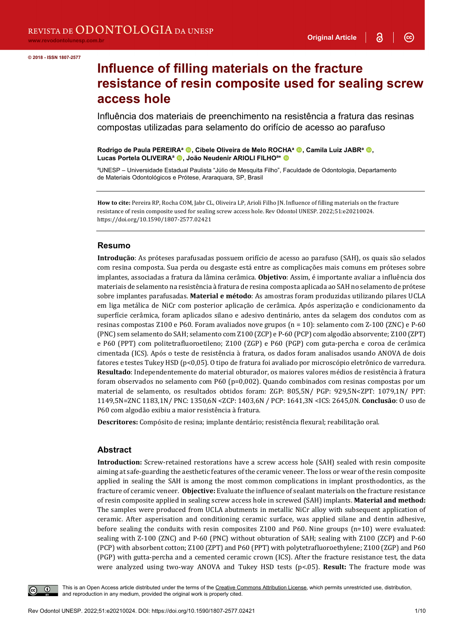3

 $\odot$ 

# **Influence of filling materials on the fracture resistance of resin composite used for sealing screw access hole**

Influência dos materiais de preenchimento na resistência a fratura das resinas compostas utilizadas para selamento do orifício de acesso ao parafuso

**Rodrigo de Paula PEREIRA<sup>a</sup> . Cibele Oliveira de Melo ROCHA<sup>a</sup> . Camila Luiz JABR<sup>a</sup> .** Lucas Portela OLIVEIRA<sup>a</sup> <sup>(D</sup>. João Neudenir ARIOLI FILHO<sup>a\*</sup> <sup>(D</sup>

a UNESP – Universidade Estadual Paulista "Júlio de Mesquita Filho", Faculdade de Odontologia, Departamento de Materiais Odontológicos e Prótese, Araraquara, SP, Brasil

**How to cite:** Pereira RP, Rocha COM, Jabr CL, Oliveira LP, Arioli Filho JN. Influence of filling materials on the fracture resistance of resin composite used for sealing screw access hole. Rev Odontol UNESP. 2022;51:e20210024. https://doi.org/10.1590/1807-2577.02421

#### **Resumo**

**Introdução**: As próteses parafusadas possuem orifício de acesso ao parafuso (SAH), os quais são selados com resina composta. Sua perda ou desgaste está entre as complicações mais comuns em próteses sobre implantes, associadas a fratura da lâmina cerâmica. **Objetivo**: Assim, é importante avaliar a influência dos materiais de selamento na resistência à fratura de resina composta aplicada ao SAH no selamento de prótese sobre implantes parafusadas. **Material e método**: As amostras foram produzidas utilizando pilares UCLA em liga metálica de NiCr com posterior aplicação de cerâmica. Após asperização e condicionamento da superfície cerâmica, foram aplicados silano e adesivo dentinário, antes da selagem dos condutos com as resinas compostas Z100 e P60. Foram avaliados nove grupos (n = 10): selamento com Z-100 (ZNC) e P-60 (PNC) sem selamento do SAH; selamento com Z100 (ZCP) e P-60 (PCP) com algodão absorvente; Z100 (ZPT) e P60 (PPT) com politetrafluoroetileno; Z100 (ZGP) e P60 (PGP) com guta-percha e coroa de cerâmica cimentada (ICS). Após o teste de resistência à fratura, os dados foram analisados usando ANOVA de dois fatores e testes Tukey HSD (p<0,05). O tipo de fratura foi avaliado por microscópio eletrônico de varredura. **Resultado**: Independentemente do material obturador, os maiores valores médios de resistência à fratura foram observados no selamento com P60 (p=0,002). Quando combinados com resinas compostas por um material de selamento, os resultados obtidos foram: ZGP: 805,5N/ PGP: 929,5N<ZPT: 1079,1N/ PPT: 1149,5N=ZNC 1183,1N/ PNC: 1350,6N <ZCP: 1403,6N / PCP: 1641,3N <ICS: 2645,0N. **Conclusão**: O uso de P60 com algodão exibiu a maior resistência à fratura.

**Descritores:** Compósito de resina; implante dentário; resistência flexural; reabilitação oral.

#### **Abstract**

**Introduction:** Screw-retained restorations have a screw access hole (SAH) sealed with resin composite aiming at safe-guarding the aesthetic features of the ceramic veneer. The loss or wear of the resin composite applied in sealing the SAH is among the most common complications in implant prosthodontics, as the fracture of ceramic veneer. **Objective:** Evaluate the influence of sealant materials on the fracture resistance of resin composite applied in sealing screw access hole in screwed (SAH) implants. **Material and method:** The samples were produced from UCLA abutments in metallic NiCr alloy with subsequent application of ceramic. After asperisation and conditioning ceramic surface, was applied silane and dentin adhesive, before sealing the conduits with resin composites Z100 and P60. Nine groups (n=10) were evaluated: sealing with Z-100 (ZNC) and P-60 (PNC) without obturation of SAH; sealing with Z100 (ZCP) and P-60 (PCP) with absorbent cotton; Z100 (ZPT) and P60 (PPT) with polytetrafluoroethylene; Z100 (ZGP) and P60 (PGP) with gutta-percha and a cemented ceramic crown (ICS). After the fracture resistance test, the data were analyzed using two-way ANOVA and Tukey HSD tests (p<.05). **Result:** The fracture mode was



This is an Open Access article distributed under the terms of the Creative Commons Attribution License, which permits unrestricted use, distribution, and reproduction in any medium, provided the original work is properly cited.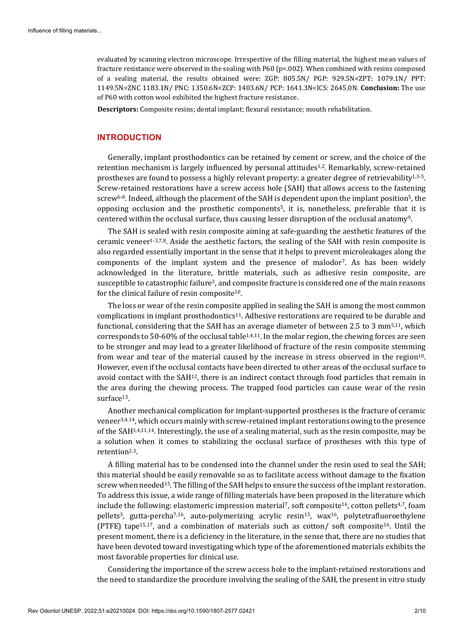evaluated by scanning electron microscope. Irrespective of the filling material, the highest mean values of fracture resistance were observed in the sealing with P60 (p=.002). When combined with resins composed of a sealing material, the results obtained were: ZGP: 805.5N/ PGP: 929.5N<ZPT: 1079.1N/ PPT: 1149.5N=ZNC 1183.1N/ PNC: 1350.6N<ZCP: 1403.6N/ PCP: 1641.3N<ICS: 2645.0N. **Conclusion:** The use of P60 with cotton wool exhibited the highest fracture resistance.

**Descriptors:** Composite resins; dental implant; flexural resistance; mouth rehabilitation.

## **INTRODUCTION**

Generally, implant prosthodontics can be retained by cement or screw, and the choice of the retention mechanism is largely influenced by personal attitudes<sup>1,2</sup>. Remarkably, screw-retained prostheses are found to possess a highly relevant property: a greater degree of retrievability<sup>1,3-5</sup>. Screw-retained restorations have a screw access hole (SAH) that allows access to the fastening screw<sup>6-8</sup>. Indeed, although the placement of the SAH is dependent upon the implant position<sup>5</sup>, the opposing occlusion and the prosthetic components5, it is, nonetheless, preferable that it is centered within the occlusal surface, thus causing lesser disruption of the occlusal anatomy9.

The SAH is sealed with resin composite aiming at safe-guarding the aesthetic features of the ceramic veneer<sup>1-3,7,8</sup>. Aside the aesthetic factors, the sealing of the SAH with resin composite is also regarded essentially important in the sense that it helps to prevent microleakages along the components of the implant system and the presence of malodor7. As has been widely acknowledged in the literature, brittle materials, such as adhesive resin composite, are susceptible to catastrophic failure3, and composite fracture is considered one of the main reasons for the clinical failure of resin composite10.

The loss or wear of the resin composite applied in sealing the SAH is among the most common complications in implant prosthodontics11. Adhesive restorations are required to be durable and functional, considering that the SAH has an average diameter of between 2.5 to 3 mm5,11, which corresponds to 50-60% of the occlusal table1,4,11. In the molar region, the chewing forces are seen to be stronger and may lead to a greater likelihood of fracture of the resin composite stemming from wear and tear of the material caused by the increase in stress observed in the region10. However, even if the occlusal contacts have been directed to other areas of the occlusal surface to avoid contact with the SAH12, there is an indirect contact through food particles that remain in the area during the chewing process. The trapped food particles can cause wear of the resin surface13.

Another mechanical complication for implant-supported prostheses is the fracture of ceramic veneer3,4,14, which occurs mainly with screw-retained implant restorations owing to the presence of the SAH3,4,11,14. Interestingly, the use of a sealing material, such as the resin composite, may be a solution when it comes to stabilizing the occlusal surface of prostheses with this type of retention2,3.

A filling material has to be condensed into the channel under the resin used to seal the SAH; this material should be easily removable so as to facilitate access without damage to the fixation screw when needed<sup>15</sup>. The filling of the SAH helps to ensure the success of the implant restoration. To address this issue, a wide range of filling materials have been proposed in the literature which include the following: elastomeric impression material<sup>7</sup>, soft composite<sup>16</sup>, cotton pellets<sup>4,7</sup>, foam pellets3, gutta-percha7,16, auto-polymerizing acrylic resin15, wax16, polytetrafluoroethylene (PTFE) tape<sup>15,17</sup>, and a combination of materials such as cotton/ soft composite<sup>16</sup>. Until the present moment, there is a deficiency in the literature, in the sense that, there are no studies that have been devoted toward investigating which type of the aforementioned materials exhibits the most favorable properties for clinical use.

Considering the importance of the screw access hole to the implant-retained restorations and the need to standardize the procedure involving the sealing of the SAH, the present in vitro study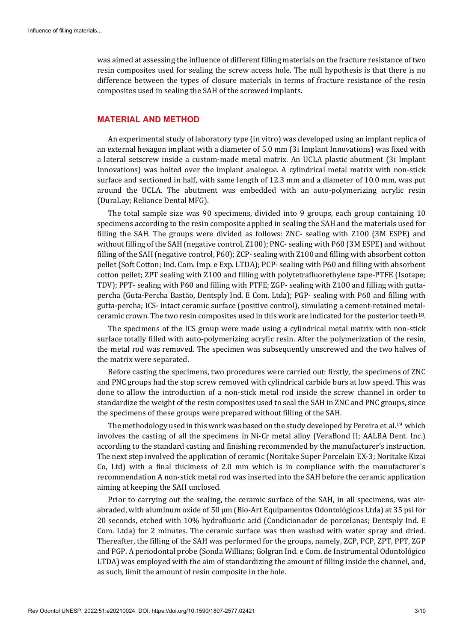was aimed at assessing the influence of different filling materials on the fracture resistance of two resin composites used for sealing the screw access hole. The null hypothesis is that there is no difference between the types of closure materials in terms of fracture resistance of the resin composites used in sealing the SAH of the screwed implants.

#### **MATERIAL AND METHOD**

An experimental study of laboratory type (in vitro) was developed using an implant replica of an external hexagon implant with a diameter of 5.0 mm (3i Implant Innovations) was fixed with a lateral setscrew inside a custom-made metal matrix. An UCLA plastic abutment (3i Implant Innovations) was bolted over the implant analogue. A cylindrical metal matrix with non-stick surface and sectioned in half, with same length of 12.3 mm and a diameter of 10.0 mm, was put around the UCLA. The abutment was embedded with an auto-polymerizing acrylic resin (DuraLay; Reliance Dental MFG).

The total sample size was 90 specimens, divided into 9 groups, each group containing 10 specimens according to the resin composite applied in sealing the SAH and the materials used for filling the SAH. The groups were divided as follows: ZNC- sealing with Z100 (3M ESPE) and without filling of the SAH (negative control, Z100); PNC- sealing with P60 (3M ESPE) and without filling of the SAH (negative control, P60); ZCP- sealing with Z100 and filling with absorbent cotton pellet (Soft Cotton; Ind. Com. Imp. e Exp. LTDA); PCP- sealing with P60 and filling with absorbent cotton pellet; ZPT sealing with Z100 and filling with polytetrafluorethylene tape-PTFE (Isotape; TDV); PPT- sealing with P60 and filling with PTFE; ZGP- sealing with Z100 and filling with guttapercha (Guta-Percha Bastão, Dentsply Ind. E Com. Ltda); PGP- sealing with P60 and filling with gutta-percha; ICS- intact ceramic surface (positive control), simulating a cement-retained metalceramic crown. The two resin composites used in this work are indicated for the posterior teeth18.

The specimens of the ICS group were made using a cylindrical metal matrix with non-stick surface totally filled with auto-polymerizing acrylic resin. After the polymerization of the resin, the metal rod was removed. The specimen was subsequently unscrewed and the two halves of the matrix were separated.

Before casting the specimens, two procedures were carried out: firstly, the specimens of ZNC and PNC groups had the stop screw removed with cylindrical carbide burs at low speed. This was done to allow the introduction of a non-stick metal rod inside the screw channel in order to standardize the weight of the resin composites used to seal the SAH in ZNC and PNC groups, since the specimens of these groups were prepared without filling of the SAH.

The methodology used in this work was based on the study developed by Pereira et al.<sup>19</sup> which involves the casting of all the specimens in Ni-Cr metal alloy (VeraBond II; AALBA Dent. Inc.) according to the standard casting and finishing recommended by the manufacturer's instruction. The next step involved the application of ceramic (Noritake Super Porcelain EX-3; Noritake Kizai Co, Ltd) with a final thickness of 2.0 mm which is in compliance with the manufacturer`s recommendation A non-stick metal rod was inserted into the SAH before the ceramic application aiming at keeping the SAH unclosed.

Prior to carrying out the sealing, the ceramic surface of the SAH, in all specimens, was airabraded, with aluminum oxide of 50 µm (Bio-Art Equipamentos Odontológicos Ltda) at 35 psi for 20 seconds, etched with 10% hydrofluoric acid (Condicionador de porcelanas; Dentsply Ind. E Com. Ltda) for 2 minutes. The ceramic surface was then washed with water spray and dried. Thereafter, the filling of the SAH was performed for the groups, namely, ZCP, PCP, ZPT, PPT, ZGP and PGP. A periodontal probe (Sonda Willians; Golgran Ind. e Com. de Instrumental Odontológico LTDA) was employed with the aim of standardizing the amount of filling inside the channel, and, as such, limit the amount of resin composite in the hole.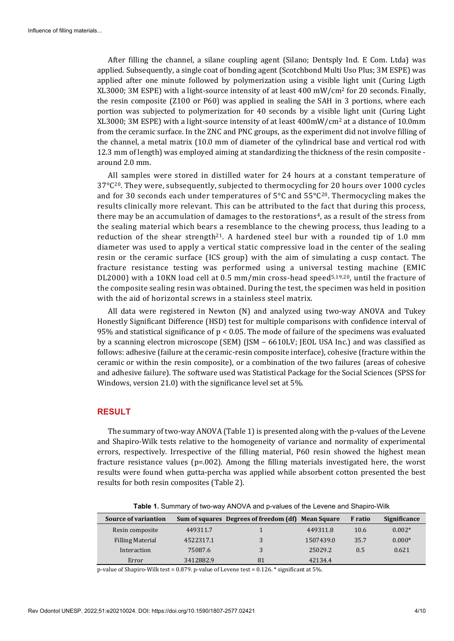After filling the channel, a silane coupling agent (Silano; Dentsply Ind. E Com. Ltda) was applied. Subsequently, a single coat of bonding agent (Scotchbond Multi Uso Plus; 3M ESPE) was applied after one minute followed by polymerization using a visible light unit (Curing Ligth XL3000; 3M ESPE) with a light-source intensity of at least 400 mW/cm2 for 20 seconds. Finally, the resin composite (Z100 or P60) was applied in sealing the SAH in 3 portions, where each portion was subjected to polymerization for 40 seconds by a visible light unit (Curing Light XL3000; 3M ESPE) with a light-source intensity of at least 400mW/cm2 at a distance of 10.0mm from the ceramic surface. In the ZNC and PNC groups, as the experiment did not involve filling of the channel, a metal matrix (10.0 mm of diameter of the cylindrical base and vertical rod with 12.3 mm of length) was employed aiming at standardizing the thickness of the resin composite around 2.0 mm.

All samples were stored in distilled water for 24 hours at a constant temperature of  $37^{\circ}C^{20}$ . They were, subsequently, subjected to thermocycling for 20 hours over 1000 cycles and for 30 seconds each under temperatures of 5°C and 55°C20. Thermocycling makes the results clinically more relevant. This can be attributed to the fact that during this process, there may be an accumulation of damages to the restorations<sup>4</sup>, as a result of the stress from the sealing material which bears a resemblance to the chewing process, thus leading to a reduction of the shear strength<sup>21</sup>. A hardened steel bur with a rounded tip of 1.0 mm diameter was used to apply a vertical static compressive load in the center of the sealing resin or the ceramic surface (ICS group) with the aim of simulating a cusp contact. The fracture resistance testing was performed using a universal testing machine (EMIC DL2000) with a 10KN load cell at 0.5 mm/min cross-head speed<sup>5,19,20</sup>, until the fracture of the composite sealing resin was obtained. During the test, the specimen was held in position with the aid of horizontal screws in a stainless steel matrix.

All data were registered in Newton (N) and analyzed using two-way ANOVA and Tukey Honestly Significant Difference (HSD) test for multiple comparisons with confidence interval of 95% and statistical significance of p < 0.05. The mode of failure of the specimens was evaluated by a scanning electron microscope (SEM) (JSM – 6610LV; JEOL USA Inc.) and was classified as follows: adhesive (failure at the ceramic-resin composite interface), cohesive (fracture within the ceramic or within the resin composite), or a combination of the two failures (areas of cohesive and adhesive failure). The software used was Statistical Package for the Social Sciences (SPSS for Windows, version 21.0) with the significance level set at 5%.

## **RESULT**

The summary of two-way ANOVA (Table 1) is presented along with the p-values of the Levene and Shapiro-Wilk tests relative to the homogeneity of variance and normality of experimental errors, respectively. Irrespective of the filling material, P60 resin showed the highest mean fracture resistance values ( $p=0.002$ ). Among the filling materials investigated here, the worst results were found when gutta-percha was applied while absorbent cotton presented the best results for both resin composites (Table 2).

| <b>Source of variantion</b> |           | Sum of squares Degrees of freedom (df) Mean Square |           | <b>F</b> ratio | Significance |
|-----------------------------|-----------|----------------------------------------------------|-----------|----------------|--------------|
| Resin composite             | 449311.7  |                                                    | 449311.8  | 10.6           | $0.002*$     |
| <b>Filling Material</b>     | 4522317.1 |                                                    | 1507439.0 | 35.7           | $0.000*$     |
| Interaction                 | 75087.6   |                                                    | 25029.2   | 0.5            | 0.621        |
| Error                       | 3412882.9 | 81                                                 | 42134.4   |                |              |

**Table 1.** Summary of two-way ANOVA and p-values of the Levene and Shapiro-Wilk

p-value of Shapiro-Wilk test = 0.879. p-value of Levene test = 0.126. \* significant at 5%.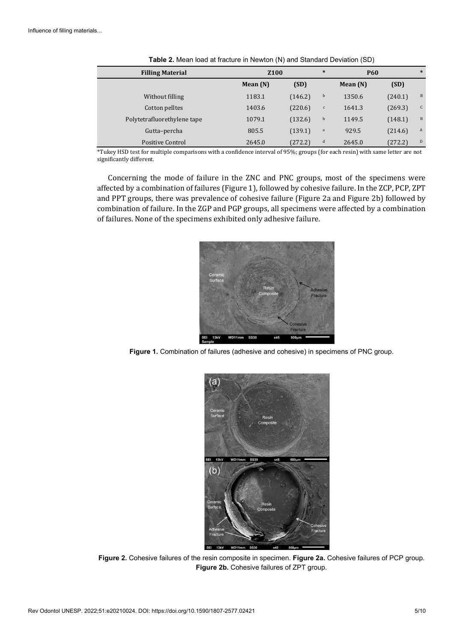| <b>Filling Material</b>     | <b>Z100</b> |         | $\ast$       | <b>P60</b> |         | $\ast$ |
|-----------------------------|-------------|---------|--------------|------------|---------|--------|
|                             | Mean $(N)$  | (SD)    |              | Mean $(N)$ | (SD)    |        |
| Without filling             | 1183.1      | (146.2) | b            | 1350.6     | (240.1) | B      |
| Cotton pelltes              | 1403.6      | (220.6) | $\mathsf{c}$ | 1641.3     | (269.3) | C      |
| Polytetrafluorethylene tape | 1079.1      | (132.6) | b            | 1149.5     | (148.1) | B      |
| Gutta-percha                | 805.5       | (139.1) | $\mathbf{a}$ | 929.5      | (214.6) | A      |
| <b>Positive Control</b>     | 2645.0      | (272.2) | d            | 2645.0     | (272.2) | D      |

**Table 2.** Mean load at fracture in Newton (N) and Standard Deviation (SD)

\*Tukey HSD test for multiple comparisons with a confidence interval of 95%; groups (for each resin) with same letter are not significantly different.

Concerning the mode of failure in the ZNC and PNC groups, most of the specimens were affected by a combination of failures (Figure 1), followed by cohesive failure. In the ZCP, PCP, ZPT and PPT groups, there was prevalence of cohesive failure (Figure 2a and Figure 2b) followed by combination of failure. In the ZGP and PGP groups, all specimens were affected by a combination of failures. None of the specimens exhibited only adhesive failure.



**Figure 1.** Combination of failures (adhesive and cohesive) in specimens of PNC group.



**Figure 2.** Cohesive failures of the resin composite in specimen. **Figure 2a.** Cohesive failures of PCP group. **Figure 2b.** Cohesive failures of ZPT group.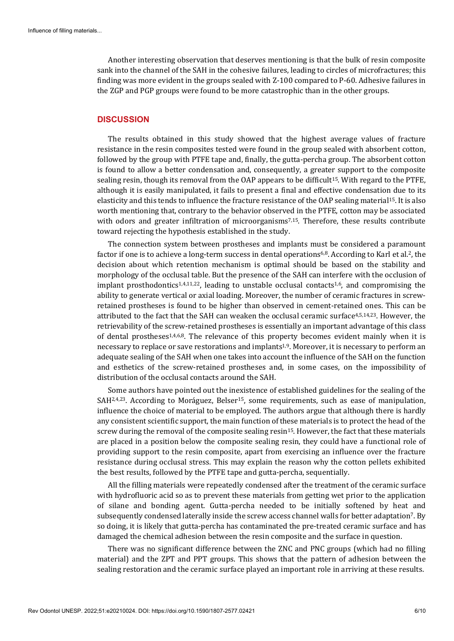Another interesting observation that deserves mentioning is that the bulk of resin composite sank into the channel of the SAH in the cohesive failures, leading to circles of microfractures; this finding was more evident in the groups sealed with Z-100 compared to P-60. Adhesive failures in the ZGP and PGP groups were found to be more catastrophic than in the other groups.

#### **DISCUSSION**

The results obtained in this study showed that the highest average values of fracture resistance in the resin composites tested were found in the group sealed with absorbent cotton, followed by the group with PTFE tape and, finally, the gutta-percha group. The absorbent cotton is found to allow a better condensation and, consequently, a greater support to the composite sealing resin, though its removal from the OAP appears to be difficult15. With regard to the PTFE, although it is easily manipulated, it fails to present a final and effective condensation due to its elasticity and this tends to influence the fracture resistance of the OAP sealing material15. It is also worth mentioning that, contrary to the behavior observed in the PTFE, cotton may be associated with odors and greater infiltration of microorganisms<sup>7,15</sup>. Therefore, these results contribute toward rejecting the hypothesis established in the study.

The connection system between prostheses and implants must be considered a paramount factor if one is to achieve a long-term success in dental operations<sup>6,8</sup>. According to Karl et al.<sup>2</sup>, the decision about which retention mechanism is optimal should be based on the stability and morphology of the occlusal table. But the presence of the SAH can interfere with the occlusion of implant prosthodontics<sup>1,4,11,22</sup>, leading to unstable occlusal contacts<sup>1,6</sup>, and compromising the ability to generate vertical or axial loading. Moreover, the number of ceramic fractures in screwretained prostheses is found to be higher than observed in cement-retained ones. This can be attributed to the fact that the SAH can weaken the occlusal ceramic surface4,5,14,23. However, the retrievability of the screw-retained prostheses is essentially an important advantage of this class of dental prostheses1,4,6,8. The relevance of this property becomes evident mainly when it is necessary to replace or save restorations and implants1,9. Moreover, it is necessary to perform an adequate sealing of the SAH when one takes into account the influence of the SAH on the function and esthetics of the screw-retained prostheses and, in some cases, on the impossibility of distribution of the occlusal contacts around the SAH.

Some authors have pointed out the inexistence of established guidelines for the sealing of the SAH<sup>2,4,23</sup>. According to Moráguez, Belser<sup>15</sup>, some requirements, such as ease of manipulation, influence the choice of material to be employed. The authors argue that although there is hardly any consistent scientific support, the main function of these materials is to protect the head of the screw during the removal of the composite sealing resin<sup>15</sup>. However, the fact that these materials are placed in a position below the composite sealing resin, they could have a functional role of providing support to the resin composite, apart from exercising an influence over the fracture resistance during occlusal stress. This may explain the reason why the cotton pellets exhibited the best results, followed by the PTFE tape and gutta-percha, sequentially.

All the filling materials were repeatedly condensed after the treatment of the ceramic surface with hydrofluoric acid so as to prevent these materials from getting wet prior to the application of silane and bonding agent. Gutta-percha needed to be initially softened by heat and subsequently condensed laterally inside the screw access channel walls for better adaptation7. By so doing, it is likely that gutta-percha has contaminated the pre-treated ceramic surface and has damaged the chemical adhesion between the resin composite and the surface in question.

There was no significant difference between the ZNC and PNC groups (which had no filling material) and the ZPT and PPT groups. This shows that the pattern of adhesion between the sealing restoration and the ceramic surface played an important role in arriving at these results.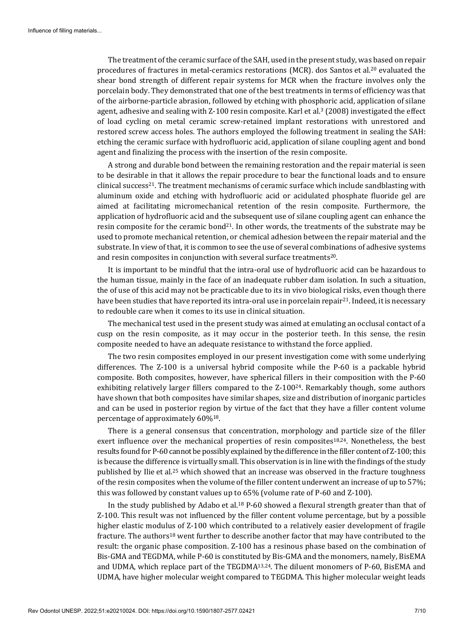The treatment of the ceramic surface of the SAH, used in the present study, was based on repair procedures of fractures in metal-ceramics restorations (MCR). dos Santos et al.20 evaluated the shear bond strength of different repair systems for MCR when the fracture involves only the porcelain body. They demonstrated that one of the best treatments in terms of efficiency was that of the airborne-particle abrasion, followed by etching with phosphoric acid, application of silane agent, adhesive and sealing with Z-100 resin composite. Karl et al.3 (2008) investigated the effect of load cycling on metal ceramic screw-retained implant restorations with unrestored and restored screw access holes. The authors employed the following treatment in sealing the SAH: etching the ceramic surface with hydrofluoric acid, application of silane coupling agent and bond agent and finalizing the process with the insertion of the resin composite.

A strong and durable bond between the remaining restoration and the repair material is seen to be desirable in that it allows the repair procedure to bear the functional loads and to ensure clinical success<sup>21</sup>. The treatment mechanisms of ceramic surface which include sandblasting with aluminum oxide and etching with hydrofluoric acid or acidulated phosphate fluoride gel are aimed at facilitating micromechanical retention of the resin composite. Furthermore, the application of hydrofluoric acid and the subsequent use of silane coupling agent can enhance the resin composite for the ceramic bond<sup>21</sup>. In other words, the treatments of the substrate may be used to promote mechanical retention, or chemical adhesion between the repair material and the substrate. In view of that, it is common to see the use of several combinations of adhesive systems and resin composites in conjunction with several surface treatments<sup>20</sup>.

It is important to be mindful that the intra-oral use of hydrofluoric acid can be hazardous to the human tissue, mainly in the face of an inadequate rubber dam isolation. In such a situation, the of use of this acid may not be practicable due to its in vivo biological risks, even though there have been studies that have reported its intra-oral use in porcelain repair<sup>21</sup>. Indeed, it is necessary to redouble care when it comes to its use in clinical situation.

The mechanical test used in the present study was aimed at emulating an occlusal contact of a cusp on the resin composite, as it may occur in the posterior teeth. In this sense, the resin composite needed to have an adequate resistance to withstand the force applied.

The two resin composites employed in our present investigation come with some underlying differences. The Z-100 is a universal hybrid composite while the P-60 is a packable hybrid composite. Both composites, however, have spherical fillers in their composition with the P-60 exhibiting relatively larger fillers compared to the Z-100<sup>24</sup>. Remarkably though, some authors have shown that both composites have similar shapes, size and distribution of inorganic particles and can be used in posterior region by virtue of the fact that they have a filler content volume percentage of approximately 60%18.

There is a general consensus that concentration, morphology and particle size of the filler exert influence over the mechanical properties of resin composites<sup>18,24</sup>. Nonetheless, the best results found for P-60 cannot be possibly explained by the difference in the filler content of Z-100; this is because the difference is virtually small. This observation is in line with the findings of the study published by Ilie et al.25 which showed that an increase was observed in the fracture toughness of the resin composites when the volume of the filler content underwent an increase of up to 57%; this was followed by constant values up to 65% (volume rate of P-60 and Z-100).

In the study published by Adabo et al.18 P-60 showed a flexural strength greater than that of Z-100. This result was not influenced by the filler content volume percentage, but by a possible higher elastic modulus of Z-100 which contributed to a relatively easier development of fragile fracture. The authors18 went further to describe another factor that may have contributed to the result: the organic phase composition. Z-100 has a resinous phase based on the combination of Bis-GMA and TEGDMA, while P-60 is constituted by Bis-GMA and the monomers, namely, BisEMA and UDMA, which replace part of the TEGDMA13,24. The diluent monomers of P-60, BisEMA and UDMA, have higher molecular weight compared to TEGDMA. This higher molecular weight leads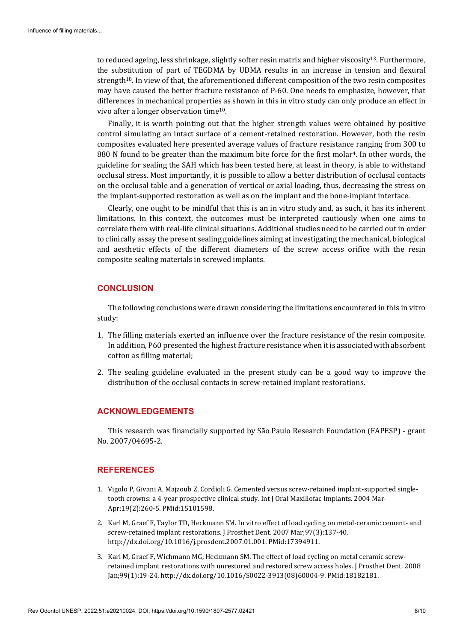to reduced ageing, less shrinkage, slightly softer resin matrix and higher viscosity13. Furthermore, the substitution of part of TEGDMA by UDMA results in an increase in tension and flexural strength18. In view of that, the aforementioned different composition of the two resin composites may have caused the better fracture resistance of P-60. One needs to emphasize, however, that differences in mechanical properties as shown in this in vitro study can only produce an effect in vivo after a longer observation time10.

Finally, it is worth pointing out that the higher strength values were obtained by positive control simulating an intact surface of a cement-retained restoration. However, both the resin composites evaluated here presented average values of fracture resistance ranging from 300 to 880 N found to be greater than the maximum bite force for the first molar<sup>4</sup>. In other words, the guideline for sealing the SAH which has been tested here, at least in theory, is able to withstand occlusal stress. Most importantly, it is possible to allow a better distribution of occlusal contacts on the occlusal table and a generation of vertical or axial loading, thus, decreasing the stress on the implant-supported restoration as well as on the implant and the bone-implant interface.

Clearly, one ought to be mindful that this is an in vitro study and, as such, it has its inherent limitations. In this context, the outcomes must be interpreted cautiously when one aims to correlate them with real-life clinical situations. Additional studies need to be carried out in order to clinically assay the present sealing guidelines aiming at investigating the mechanical, biological and aesthetic effects of the different diameters of the screw access orifice with the resin composite sealing materials in screwed implants.

### **CONCLUSION**

The following conclusions were drawn considering the limitations encountered in this in vitro study:

- 1. The filling materials exerted an influence over the fracture resistance of the resin composite. In addition, P60 presented the highest fracture resistance when it is associated with absorbent cotton as filling material;
- 2. The sealing guideline evaluated in the present study can be a good way to improve the distribution of the occlusal contacts in screw-retained implant restorations.

#### **ACKNOWLEDGEMENTS**

This research was financially supported by São Paulo Research Foundation (FAPESP) - grant No. 2007/04695-2.

#### **REFERENCES**

- 1. Vigolo P, Givani A, Majzoub Z, Cordioli G. Cemented versus screw-retained implant-supported singletooth crowns: a 4-year prospective clinical study. Int J Oral Maxillofac Implants. 2004 Mar-Apr;19(2):260-5. [PMid:15101598.](https://www.ncbi.nlm.nih.gov/entrez/query.fcgi?cmd=Retrieve&db=PubMed&list_uids=15101598&dopt=Abstract)
- 2. Karl M, Graef F, Taylor TD, Heckmann SM. In vitro effect of load cycling on metal-ceramic cement- and screw-retained implant restorations. J Prosthet Dent. 2007 Mar;97(3):137-40. [http://dx.doi.org/10.1016/j.prosdent.2007.01.001.](https://doi.org/10.1016/j.prosdent.2007.01.001) [PMid:17394911.](https://www.ncbi.nlm.nih.gov/entrez/query.fcgi?cmd=Retrieve&db=PubMed&list_uids=17394911&dopt=Abstract)
- 3. Karl M, Graef F, Wichmann MG, Heckmann SM. The effect of load cycling on metal ceramic screwretained implant restorations with unrestored and restored screw access holes. J Prosthet Dent. 2008 Jan;99(1):19-24. [http://dx.doi.org/10.1016/S0022-3913\(08\)60004-9.](https://doi.org/10.1016/S0022-3913(08)60004-9) [PMid:18182181.](https://www.ncbi.nlm.nih.gov/entrez/query.fcgi?cmd=Retrieve&db=PubMed&list_uids=18182181&dopt=Abstract)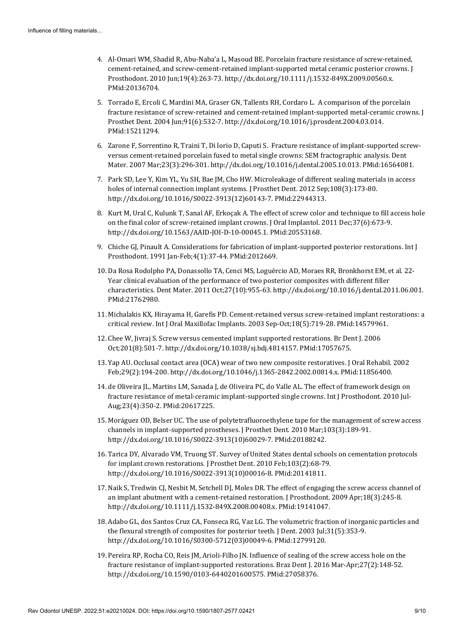- 4. Al-Omari WM, Shadid R, Abu-Naba'a L, Masoud BE. Porcelain fracture resistance of screw-retained, cement-retained, and screw-cement-retained implant-supported metal ceramic posterior cr[owns.](https://www.ncbi.nlm.nih.gov/entrez/query.fcgi?cmd=Retrieve&db=PubMed&list_uids=20136704&dopt=Abstract) J Prosthodont. 2010 Jun;19(4):263-73[. http://dx.doi.org/10.1111/j.1532-849X.2009.00560.x.](https://doi.org/10.1111/j.1532-849X.2009.00560.x) [PMid:20136704.](https://www.ncbi.nlm.nih.gov/entrez/query.fcgi?cmd=Retrieve&db=PubMed&list_uids=20136704&dopt=Abstract)
- 5. Torrado E, Ercoli C, Mardini MA, Graser GN, Tallents RH, Cordaro L. A comparison of the porcelain fracture resistance of screw-retained and cement-retained implant-supported metal-cer[amic crowns.](https://www.ncbi.nlm.nih.gov/entrez/query.fcgi?cmd=Retrieve&db=PubMed&list_uids=15211294&dopt=Abstract) J Prosthet Dent. 2004 Jun;91(6):532-7. [http://dx.doi.org/10.1016/j.prosdent.2004.03.014.](https://doi.org/10.1016/j.prosdent.2004.03.014) [PMid:15211294.](https://www.ncbi.nlm.nih.gov/entrez/query.fcgi?cmd=Retrieve&db=PubMed&list_uids=15211294&dopt=Abstract)
- 6. Zarone F, Sorrentino R, Traini T, Di lorio D, Caputi S. Fracture resistance of implant-supported screwversus cement-retained porcelain fused to metal single crowns: SEM fractographic analysis. Dent Mater. 2007 Mar;23(3):296-301[. http://dx.doi.org/10.1016/j.dental.2005.10.013.](https://doi.org/10.1016/j.dental.2005.10.013) [PMid:16564081.](https://www.ncbi.nlm.nih.gov/entrez/query.fcgi?cmd=Retrieve&db=PubMed&list_uids=16564081&dopt=Abstract)
- 7. Park SD, Lee Y, Kim YL, Yu SH, Bae JM, Cho HW. Microleakage of different sealing materials in access holes of internal connection implant systems. J Prosthet Dent. 2012 Sep;108(3):173-80. [http://dx.doi.org/10.1016/S0022-3913\(12\)60143-7.](https://doi.org/10.1016/S0022-3913(12)60143-7) [PMid:22944313.](https://www.ncbi.nlm.nih.gov/entrez/query.fcgi?cmd=Retrieve&db=PubMed&list_uids=22944313&dopt=Abstract)
- 8. Kurt M, Ural C, Kulunk T, Sanal AF, Erkoçak A. The effect of screw color and technique to fill access hole on the final color of screw-retained implant crowns. J Oral Implantol. 2011 Dec;37(6):673-9. [http://dx.doi.org/10.1563/AAID-JOI-D-10-00045.1.](https://doi.org/10.1563/AAID-JOI-D-10-00045.1) [PMid:20553168.](https://www.ncbi.nlm.nih.gov/entrez/query.fcgi?cmd=Retrieve&db=PubMed&list_uids=20553168&dopt=Abstract)
- 9. Chiche GJ, Pinault A. Considerations for fabrication of implant-supported posterior restorations. Int J Prosthodont. 1991 Jan-Feb;4(1):37-44. [PMid:2012669.](https://www.ncbi.nlm.nih.gov/entrez/query.fcgi?cmd=Retrieve&db=PubMed&list_uids=2012669&dopt=Abstract)
- 10. Da Rosa Rodolpho PA, Donassollo TA, Cenci MS, Loguércio AD, Moraes RR, Bronkhorst EM, et al. 22- Year clinical evaluation of the performance of two posterior composites with different filler characteristics. Dent Mater. 2011 Oct;27(10):955-63[. http://dx.doi.org/10.1016/j.dental.2011.06.001.](https://doi.org/10.1016/j.dental.2011.06.001) [PMid:21762980.](https://www.ncbi.nlm.nih.gov/entrez/query.fcgi?cmd=Retrieve&db=PubMed&list_uids=21762980&dopt=Abstract)
- 11. Michalakis KX, Hirayama H, Garefis PD. Cement-retained versus screw-retained implant restorations: a critical review. Int J Oral Maxillofac Implants. 2003 Sep-Oct;18(5):719-28. [PMid:14579961.](https://www.ncbi.nlm.nih.gov/entrez/query.fcgi?cmd=Retrieve&db=PubMed&list_uids=14579961&dopt=Abstract)
- 12. Chee W, Jivraj S. Screw versus cemented implant supported restorations. Br Dent J. 2006 Oct;201(8):501-7. [http://dx.doi.org/10.1038/sj.bdj.4814157.](https://doi.org/10.1038/sj.bdj.4814157) [PMid:17057675.](https://www.ncbi.nlm.nih.gov/entrez/query.fcgi?cmd=Retrieve&db=PubMed&list_uids=17057675&dopt=Abstract)
- 13. Yap AU. Occlusal contact area (OCA) wear of two new composite restoratives. J Oral Rehabil. 2002 Feb;29(2):194-200[. http://dx.doi.org/10.1046/j.1365-2842.2002.00814.x.](https://doi.org/10.1046/j.1365-2842.2002.00814.x) [PMid:11856400.](https://www.ncbi.nlm.nih.gov/entrez/query.fcgi?cmd=Retrieve&db=PubMed&list_uids=11856400&dopt=Abstract)
- 14. de Oliveira JL, Martins LM, Sanada J, de Oliveira PC, do Valle AL. The effect of framework design on fracture resistance of metal-ceramic implant-supported single crowns. Int J Prosthodont. 2010 Jul-Aug;23(4):350-2. [PMid:20617225.](https://www.ncbi.nlm.nih.gov/entrez/query.fcgi?cmd=Retrieve&db=PubMed&list_uids=20617225&dopt=Abstract)
- 15. Moráguez OD, Belser UC. The use of polytetrafluoroethylene tape for the management of screw access channels in implant-supported prostheses. J Prosthet Dent. 2010 Mar;103(3):189-91. [http://dx.doi.org/10.1016/S0022-3913\(10\)60029-7.](https://doi.org/10.1016/S0022-3913(10)60029-7) [PMid:20188242.](https://www.ncbi.nlm.nih.gov/entrez/query.fcgi?cmd=Retrieve&db=PubMed&list_uids=20188242&dopt=Abstract)
- 16. Tarica DY, Alvarado VM, Truong ST. Survey of United States dental schools on cementation protocols for implant crown restorations. J Prosthet Dent. 2010 Feb;103(2):68-79. [http://dx.doi.org/10.1016/S0022-3913\(10\)00016-8.](https://doi.org/10.1016/S0022-3913(10)00016-8) [PMid:20141811.](https://www.ncbi.nlm.nih.gov/entrez/query.fcgi?cmd=Retrieve&db=PubMed&list_uids=20141811&dopt=Abstract)
- 17. Naik S, Tredwin CJ, Nesbit M, Setchell DJ, Moles DR. The effect of engaging the screw access channel of an implant abutment with a cement-retained restoration. J Prosthodont. 2009 Apr;18(3):245-8. [http://dx.doi.org/10.1111/j.1532-849X.2008.00408.x.](https://doi.org/10.1111/j.1532-849X.2008.00408.x) [PMid:19141047.](https://www.ncbi.nlm.nih.gov/entrez/query.fcgi?cmd=Retrieve&db=PubMed&list_uids=19141047&dopt=Abstract)
- 18. Adabo GL, dos Santos Cruz CA, Fonseca RG, Vaz LG. The volumetric fraction of inorganic particles and the flexural strength of composites for posterior teeth. J Dent. 2003 Jul;31(5):353-9. [http://dx.doi.org/10.1016/S0300-5712\(03\)00049-6.](https://doi.org/10.1016/S0300-5712(03)00049-6) [PMid:12799120.](https://www.ncbi.nlm.nih.gov/entrez/query.fcgi?cmd=Retrieve&db=PubMed&list_uids=12799120&dopt=Abstract)
- 19. Pereira RP, Rocha CO, Reis JM, Arioli-Filho JN. Influence of sealing of the screw access hole on the fracture resistance of implant-supported restorations. Braz Dent J. 2016 Mar-Apr;27(2):148-52. [http://dx.doi.org/10.1590/0103-6440201600575.](https://doi.org/10.1590/0103-6440201600575) [PMid:27058376.](https://www.ncbi.nlm.nih.gov/entrez/query.fcgi?cmd=Retrieve&db=PubMed&list_uids=27058376&dopt=Abstract)